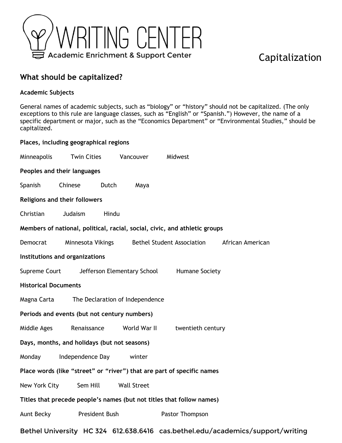

# Capitalization

## **What should be capitalized?**

**Academic Subjects**

General names of academic subjects, such as "biology" or "history" should not be capitalized. (The only exceptions to this rule are language classes, such as "English" or "Spanish.") However, the name of a specific department or major, such as the "Economics Department" or "Environmental Studies," should be capitalized.

## **Places, including geographical regions**

| Minneapolis                                                                | <b>Twin Cities</b> |                   | Vancouver          | Midwest                           |                                                                                |
|----------------------------------------------------------------------------|--------------------|-------------------|--------------------|-----------------------------------|--------------------------------------------------------------------------------|
| Peoples and their languages                                                |                    |                   |                    |                                   |                                                                                |
| Spanish                                                                    | Chinese            | Dutch             | Maya               |                                   |                                                                                |
| <b>Religions and their followers</b>                                       |                    |                   |                    |                                   |                                                                                |
| Christian                                                                  | Judaism            | Hindu             |                    |                                   |                                                                                |
| Members of national, political, racial, social, civic, and athletic groups |                    |                   |                    |                                   |                                                                                |
| Democrat                                                                   |                    | Minnesota Vikings |                    | <b>Bethel Student Association</b> | African American                                                               |
| Institutions and organizations                                             |                    |                   |                    |                                   |                                                                                |
| Supreme Court<br>Jefferson Elementary School<br>Humane Society             |                    |                   |                    |                                   |                                                                                |
| <b>Historical Documents</b>                                                |                    |                   |                    |                                   |                                                                                |
| Magna Carta<br>The Declaration of Independence                             |                    |                   |                    |                                   |                                                                                |
| Periods and events (but not century numbers)                               |                    |                   |                    |                                   |                                                                                |
| Middle Ages                                                                |                    | Renaissance       | World War II       | twentieth century                 |                                                                                |
| Days, months, and holidays (but not seasons)                               |                    |                   |                    |                                   |                                                                                |
| Monday                                                                     | Independence Day   |                   | winter             |                                   |                                                                                |
| Place words (like "street" or "river") that are part of specific names     |                    |                   |                    |                                   |                                                                                |
| New York City                                                              |                    | Sem Hill          | <b>Wall Street</b> |                                   |                                                                                |
| Titles that precede people's names (but not titles that follow names)      |                    |                   |                    |                                   |                                                                                |
| Aunt Becky<br>President Bush                                               |                    |                   |                    | Pastor Thompson                   |                                                                                |
|                                                                            |                    |                   |                    |                                   | Bethel University HC 324 612.638.6416 cas.bethel.edu/academics/support/writing |